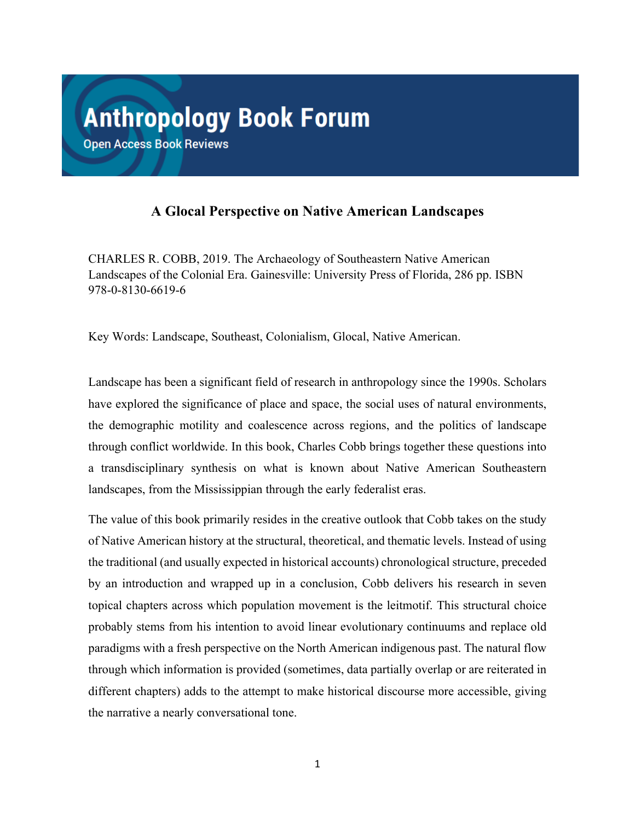## **A Glocal Perspective on Native American Landscapes**

CHARLES R. COBB, 2019. The Archaeology of Southeastern Native American Landscapes of the Colonial Era. Gainesville: University Press of Florida, 286 pp. ISBN 978-0-8130-6619-6

Key Words: Landscape, Southeast, Colonialism, Glocal, Native American.

Landscape has been a significant field of research in anthropology since the 1990s. Scholars have explored the significance of place and space, the social uses of natural environments, the demographic motility and coalescence across regions, and the politics of landscape through conflict worldwide. In this book, Charles Cobb brings together these questions into a transdisciplinary synthesis on what is known about Native American Southeastern landscapes, from the Mississippian through the early federalist eras.

The value of this book primarily resides in the creative outlook that Cobb takes on the study of Native American history at the structural, theoretical, and thematic levels. Instead of using the traditional (and usually expected in historical accounts) chronological structure, preceded by an introduction and wrapped up in a conclusion, Cobb delivers his research in seven topical chapters across which population movement is the leitmotif. This structural choice probably stems from his intention to avoid linear evolutionary continuums and replace old paradigms with a fresh perspective on the North American indigenous past. The natural flow through which information is provided (sometimes, data partially overlap or are reiterated in different chapters) adds to the attempt to make historical discourse more accessible, giving the narrative a nearly conversational tone.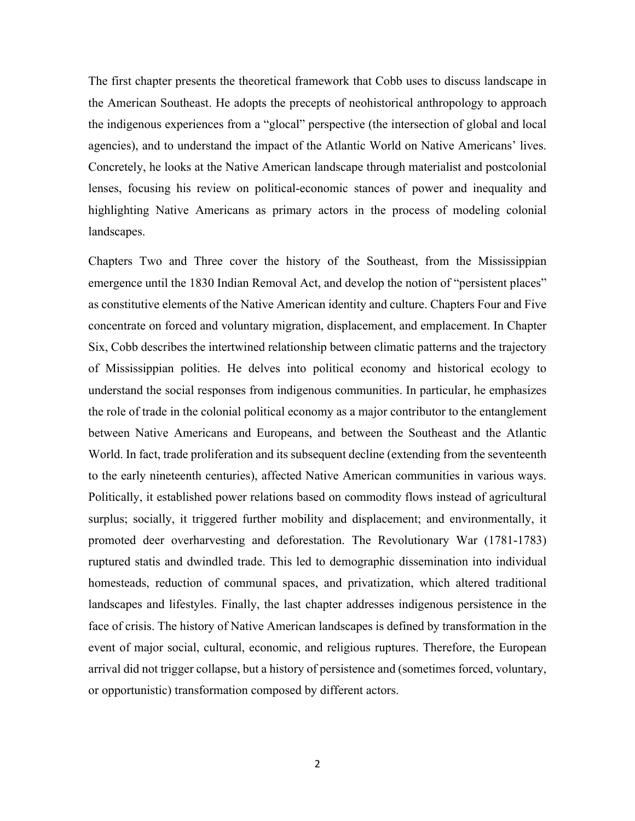The first chapter presents the theoretical framework that Cobb uses to discuss landscape in the American Southeast. He adopts the precepts of neohistorical anthropology to approach the indigenous experiences from a "glocal" perspective (the intersection of global and local agencies), and to understand the impact of the Atlantic World on Native Americans' lives. Concretely, he looks at the Native American landscape through materialist and postcolonial lenses, focusing his review on political-economic stances of power and inequality and highlighting Native Americans as primary actors in the process of modeling colonial landscapes.

Chapters Two and Three cover the history of the Southeast, from the Mississippian emergence until the 1830 Indian Removal Act, and develop the notion of "persistent places" as constitutive elements of the Native American identity and culture. Chapters Four and Five concentrate on forced and voluntary migration, displacement, and emplacement. In Chapter Six, Cobb describes the intertwined relationship between climatic patterns and the trajectory of Mississippian polities. He delves into political economy and historical ecology to understand the social responses from indigenous communities. In particular, he emphasizes the role of trade in the colonial political economy as a major contributor to the entanglement between Native Americans and Europeans, and between the Southeast and the Atlantic World. In fact, trade proliferation and its subsequent decline (extending from the seventeenth to the early nineteenth centuries), affected Native American communities in various ways. Politically, it established power relations based on commodity flows instead of agricultural surplus; socially, it triggered further mobility and displacement; and environmentally, it promoted deer overharvesting and deforestation. The Revolutionary War (1781-1783) ruptured statis and dwindled trade. This led to demographic dissemination into individual homesteads, reduction of communal spaces, and privatization, which altered traditional landscapes and lifestyles. Finally, the last chapter addresses indigenous persistence in the face of crisis. The history of Native American landscapes is defined by transformation in the event of major social, cultural, economic, and religious ruptures. Therefore, the European arrival did not trigger collapse, but a history of persistence and (sometimes forced, voluntary, or opportunistic) transformation composed by different actors.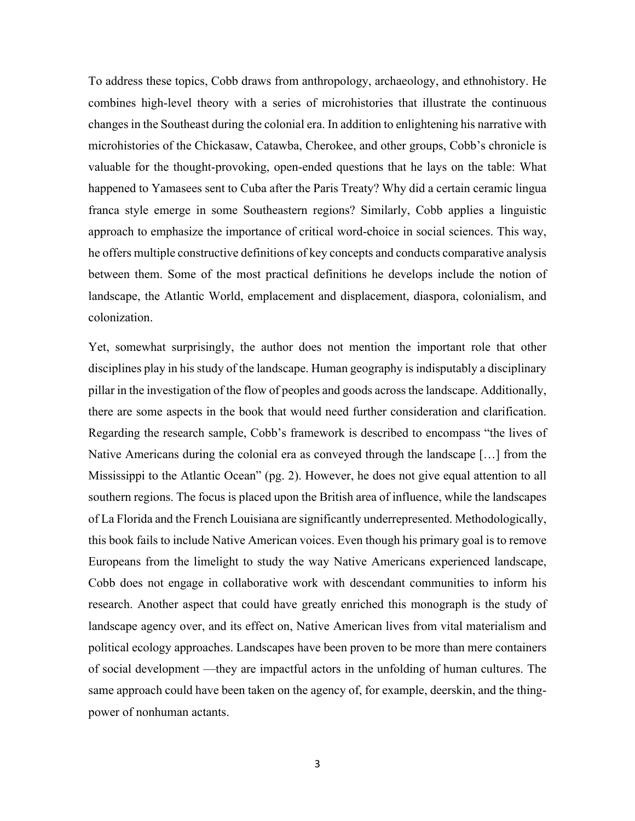To address these topics, Cobb draws from anthropology, archaeology, and ethnohistory. He combines high-level theory with a series of microhistories that illustrate the continuous changes in the Southeast during the colonial era. In addition to enlightening his narrative with microhistories of the Chickasaw, Catawba, Cherokee, and other groups, Cobb's chronicle is valuable for the thought-provoking, open-ended questions that he lays on the table: What happened to Yamasees sent to Cuba after the Paris Treaty? Why did a certain ceramic lingua franca style emerge in some Southeastern regions? Similarly, Cobb applies a linguistic approach to emphasize the importance of critical word-choice in social sciences. This way, he offers multiple constructive definitions of key concepts and conducts comparative analysis between them. Some of the most practical definitions he develops include the notion of landscape, the Atlantic World, emplacement and displacement, diaspora, colonialism, and colonization.

Yet, somewhat surprisingly, the author does not mention the important role that other disciplines play in his study of the landscape. Human geography is indisputably a disciplinary pillar in the investigation of the flow of peoples and goods across the landscape. Additionally, there are some aspects in the book that would need further consideration and clarification. Regarding the research sample, Cobb's framework is described to encompass "the lives of Native Americans during the colonial era as conveyed through the landscape […] from the Mississippi to the Atlantic Ocean" (pg. 2). However, he does not give equal attention to all southern regions. The focus is placed upon the British area of influence, while the landscapes of La Florida and the French Louisiana are significantly underrepresented. Methodologically, this book fails to include Native American voices. Even though his primary goal is to remove Europeans from the limelight to study the way Native Americans experienced landscape, Cobb does not engage in collaborative work with descendant communities to inform his research. Another aspect that could have greatly enriched this monograph is the study of landscape agency over, and its effect on, Native American lives from vital materialism and political ecology approaches. Landscapes have been proven to be more than mere containers of social development —they are impactful actors in the unfolding of human cultures. The same approach could have been taken on the agency of, for example, deerskin, and the thingpower of nonhuman actants.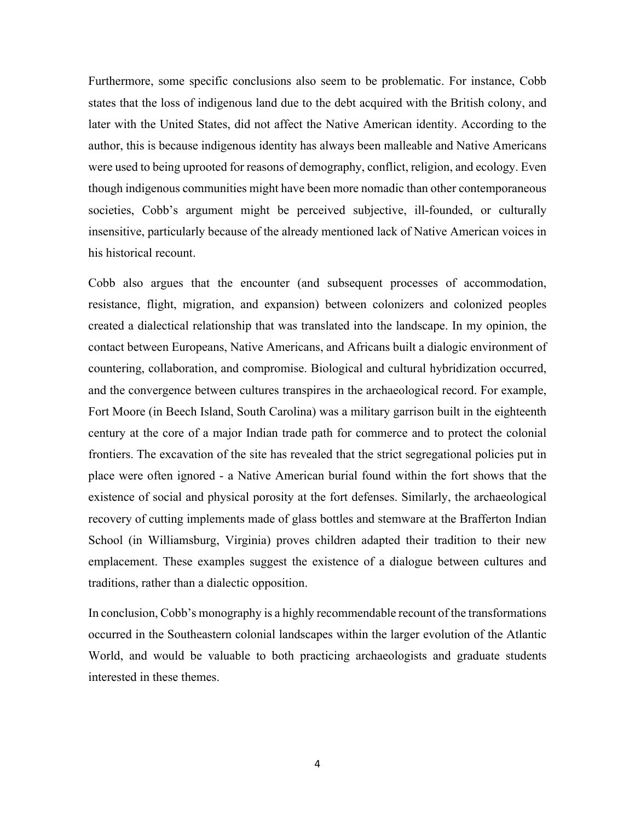Furthermore, some specific conclusions also seem to be problematic. For instance, Cobb states that the loss of indigenous land due to the debt acquired with the British colony, and later with the United States, did not affect the Native American identity. According to the author, this is because indigenous identity has always been malleable and Native Americans were used to being uprooted for reasons of demography, conflict, religion, and ecology. Even though indigenous communities might have been more nomadic than other contemporaneous societies, Cobb's argument might be perceived subjective, ill-founded, or culturally insensitive, particularly because of the already mentioned lack of Native American voices in his historical recount.

Cobb also argues that the encounter (and subsequent processes of accommodation, resistance, flight, migration, and expansion) between colonizers and colonized peoples created a dialectical relationship that was translated into the landscape. In my opinion, the contact between Europeans, Native Americans, and Africans built a dialogic environment of countering, collaboration, and compromise. Biological and cultural hybridization occurred, and the convergence between cultures transpires in the archaeological record. For example, Fort Moore (in Beech Island, South Carolina) was a military garrison built in the eighteenth century at the core of a major Indian trade path for commerce and to protect the colonial frontiers. The excavation of the site has revealed that the strict segregational policies put in place were often ignored - a Native American burial found within the fort shows that the existence of social and physical porosity at the fort defenses. Similarly, the archaeological recovery of cutting implements made of glass bottles and stemware at the Brafferton Indian School (in Williamsburg, Virginia) proves children adapted their tradition to their new emplacement. These examples suggest the existence of a dialogue between cultures and traditions, rather than a dialectic opposition.

In conclusion, Cobb's monography is a highly recommendable recount of the transformations occurred in the Southeastern colonial landscapes within the larger evolution of the Atlantic World, and would be valuable to both practicing archaeologists and graduate students interested in these themes.